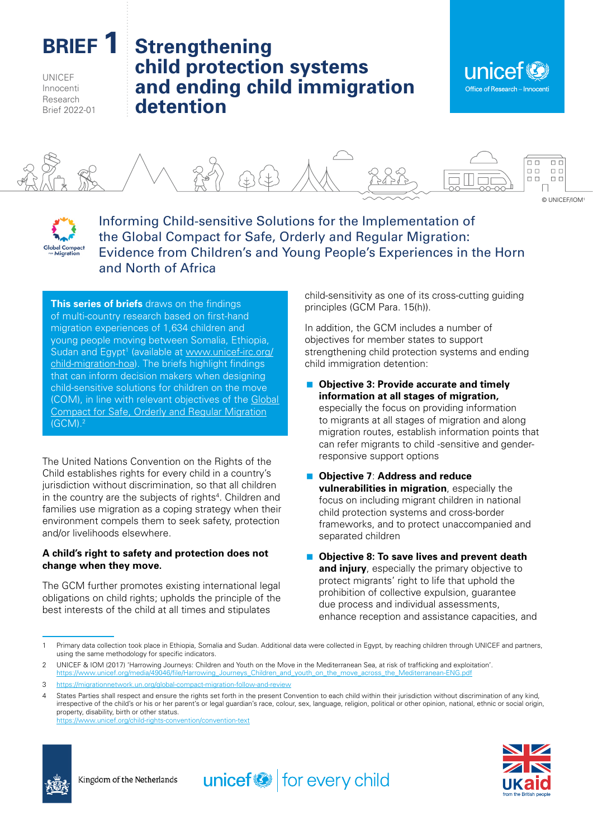UNICEF Innocenti Research Brief 2022-01

# **BRIEF 1 Strengthening child protection systems and ending child immigration detention**





Informing Child-sensitive Solutions for the Implementation of the Global Compact for Safe, Orderly and Regular Migration: Evidence from Children's and Young People's Experiences in the Horn and North of Africa

**This series of briefs** draws on the findings of multi-country research based on first-hand migration experiences of 1,634 children and young people moving between Somalia, Ethiopia, Sudan and Egypt<sup>1</sup> (available at [www.unicef-irc.org/](https://www.unicef-irc.org/child-migration-hoa) [child-migration-hoa\)](https://www.unicef-irc.org/child-migration-hoa). The briefs highlight findings that can inform decision makers when designing child-sensitive solutions for children on the move (COM), in line with relevant objectives of the [Global](https://migrationnetwork.un.org/global-compact-migration-follow-and-review)  [Compact for Safe, Orderly and Regular Migration](https://migrationnetwork.un.org/global-compact-migration-follow-and-review) (GCM).2

The United Nations Convention on the Rights of the Child establishes rights for every child in a country's jurisdiction without discrimination, so that all children in the country are the subjects of rights<sup>4</sup>. Children and families use migration as a coping strategy when their environment compels them to seek safety, protection and/or livelihoods elsewhere.

#### **A child's right to safety and protection does not change when they move.**

The GCM further promotes existing international legal obligations on child rights; upholds the principle of the best interests of the child at all times and stipulates

child-sensitivity as one of its cross-cutting guiding principles (GCM Para. 15(h)).

In addition, the GCM includes a number of objectives for member states to support strengthening child protection systems and ending child immigration detention:

- Objective 3: Provide accurate and timely **information at all stages of migration,**  especially the focus on providing information to migrants at all stages of migration and along migration routes, establish information points that can refer migrants to child -sensitive and genderresponsive support options
- **Objective 7**: **Address and reduce vulnerabilities in migration**, especially the focus on including migrant children in national child protection systems and cross-border frameworks, and to protect unaccompanied and separated children
- Objective 8: To save lives and prevent death **and injury**, especially the primary objective to protect migrants' right to life that uphold the prohibition of collective expulsion, guarantee due process and individual assessments, enhance reception and assistance capacities, and

<sup>4</sup> States Parties shall respect and ensure the rights set forth in the present Convention to each child within their jurisdiction without discrimination of any kind, irrespective of the child's or his or her parent's or legal guardian's race, colour, sex, language, religion, political or other opinion, national, ethnic or social origin, property, disability, birth or other status. hvention/convention-text





<sup>1</sup> Primary data collection took place in Ethiopia, Somalia and Sudan. Additional data were collected in Egypt, by reaching children through UNICEF and partners, using the same methodology for specific indicators.

<sup>2</sup> UNICEF & IOM (2017) 'Harrowing Journeys: Children and Youth on the Move in the Mediterranean Sea, at risk of trafficking and exploitation'. https://www.unicef.org/media/49046/file/Harrowing\_Journeys

<sup>3</sup> https://migrationnetwork.un.org/global-compact-migration-follow-and-review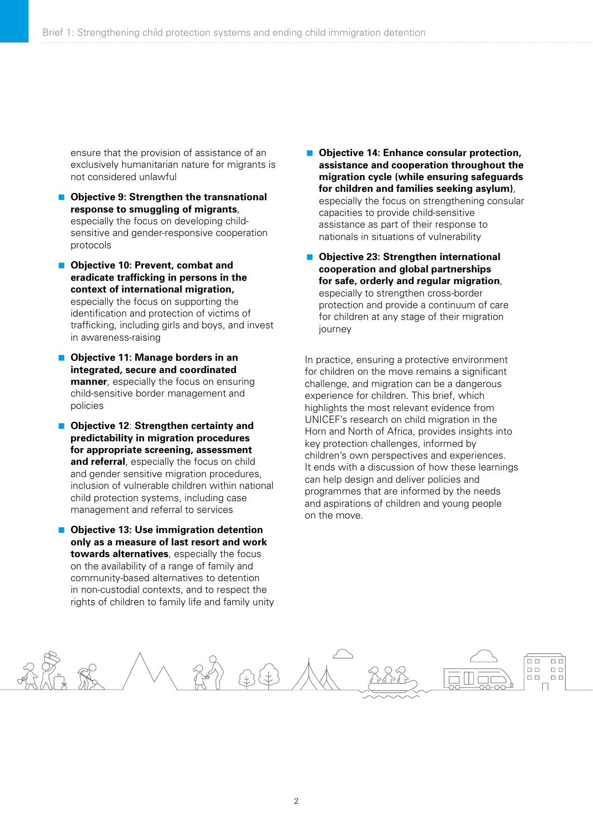ensure that the provision of assistance of an exclusively humanitarian nature for migrants is not considered unlawful

- Objective 9: Strengthen the transnational **response to smuggling of migrants**, especially the focus on developing childsensitive and gender-responsive cooperation protocols
- Objective 10: Prevent, combat and **eradicate trafficking in persons in the context of international migration,**  especially the focus on supporting the identification and protection of victims of trafficking, including girls and boys, and invest in awareness-raising
- Objective 11: Manage borders in an **integrated, secure and coordinated manner**, especially the focus on ensuring child-sensitive border management and policies
- **Objective 12**: **Strengthen certainty and predictability in migration procedures for appropriate screening, assessment and referral**, especially the focus on child and gender sensitive migration procedures, inclusion of vulnerable children within national child protection systems, including case management and referral to services
- Objective 13: Use immigration detention **only as a measure of last resort and work towards alternatives**, especially the focus on the availability of a range of family and community-based alternatives to detention in non-custodial contexts, and to respect the rights of children to family life and family unity
- Objective 14: Enhance consular protection, **assistance and cooperation throughout the migration cycle (while ensuring safeguards for children and families seeking asylum)**, especially the focus on strengthening consular capacities to provide child-sensitive assistance as part of their response to nationals in situations of vulnerability
- **Objective 23: Strengthen international cooperation and global partnerships for safe, orderly and regular migration**, especially to strengthen cross-border protection and provide a continuum of care for children at any stage of their migration journey

In practice, ensuring a protective environment for children on the move remains a significant challenge, and migration can be a dangerous experience for children. This brief, which highlights the most relevant evidence from UNICEF's research on child migration in the Horn and North of Africa, provides insights into key protection challenges, informed by children's own perspectives and experiences. It ends with a discussion of how these learnings can help design and deliver policies and programmes that are informed by the needs and aspirations of children and young people on the move.

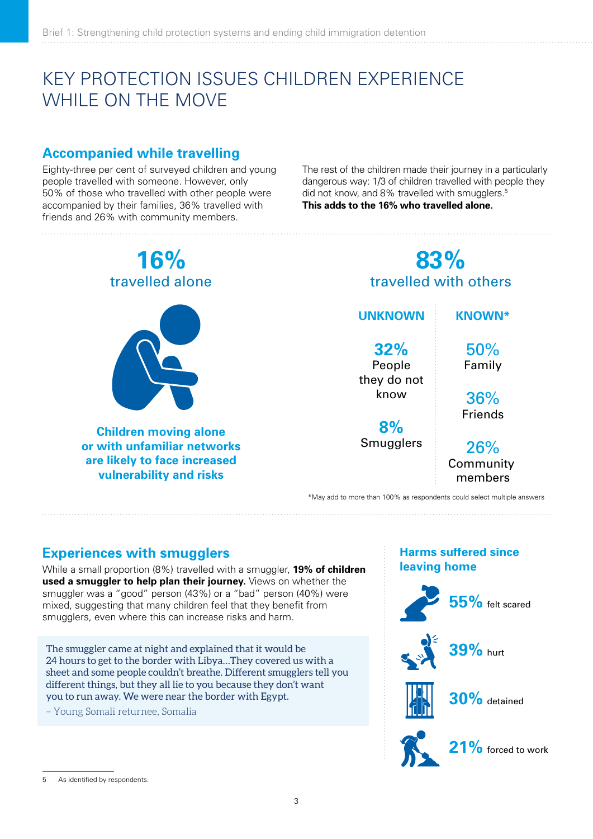## KEY PROTECTION ISSUES CHILDREN EXPERIENCE WHILE ON THE MOVE

### **Accompanied while travelling**

Eighty-three per cent of surveyed children and young people travelled with someone. However, only 50% of those who travelled with other people were accompanied by their families, 36% travelled with friends and 26% with community members.

The rest of the children made their journey in a particularly dangerous way: 1/3 of children travelled with people they did not know, and 8% travelled with smugglers.<sup>5</sup> **This adds to the 16% who travelled alone.** 



\*May add to more than 100% as respondents could select multiple answers

### **Experiences with smugglers**

While a small proportion (8%) travelled with a smuggler, **19% of children used a smuggler to help plan their journey.** Views on whether the smuggler was a "good" person (43%) or a "bad" person (40%) were mixed, suggesting that many children feel that they benefit from smugglers, even where this can increase risks and harm.

The smuggler came at night and explained that it would be 24 hours to get to the border with Libya…They covered us with a sheet and some people couldn't breathe. Different smugglers tell you different things, but they all lie to you because they don't want you to run away. We were near the border with Egypt.

– Young Somali returnee, Somalia

#### **Harms suffered since leaving home**



<sup>5</sup> As identified by respondents.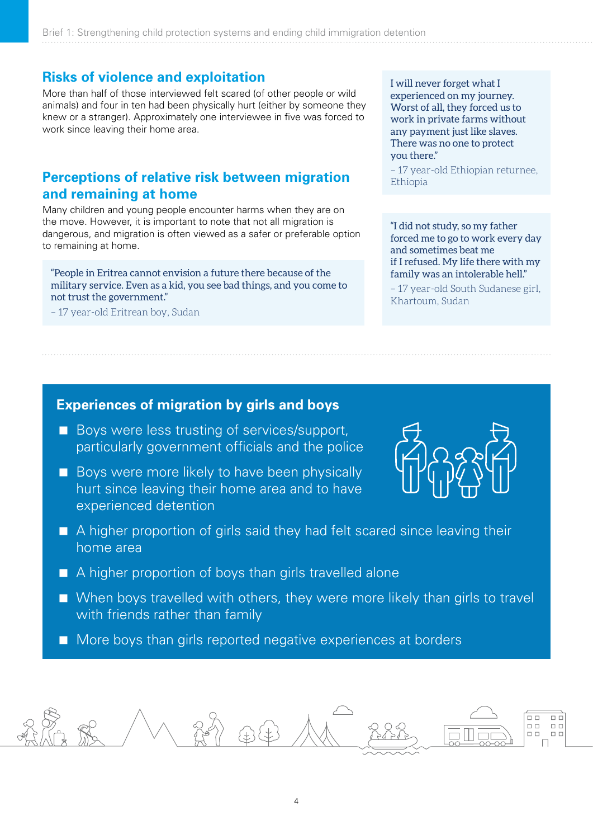#### **Risks of violence and exploitation**

More than half of those interviewed felt scared (of other people or wild animals) and four in ten had been physically hurt (either by someone they knew or a stranger). Approximately one interviewee in five was forced to work since leaving their home area.

### **Perceptions of relative risk between migration and remaining at home**

Many children and young people encounter harms when they are on the move. However, it is important to note that not all migration is dangerous, and migration is often viewed as a safer or preferable option to remaining at home.

"People in Eritrea cannot envision a future there because of the military service. Even as a kid, you see bad things, and you come to not trust the government."

– 17 year-old Eritrean boy, Sudan

I will never forget what I experienced on my journey. Worst of all, they forced us to work in private farms without any payment just like slaves. There was no one to protect you there."

– 17 year-old Ethiopian returnee, Ethiopia

"I did not study, so my father forced me to go to work every day and sometimes beat me if I refused. My life there with my family was an intolerable hell." – 17 year-old South Sudanese girl, Khartoum, Sudan

### **Experiences of migration by girls and boys**

- Boys were less trusting of services/support, particularly government officials and the police
- Boys were more likely to have been physically hurt since leaving their home area and to have experienced detention



- A higher proportion of girls said they had felt scared since leaving their home area
- A higher proportion of boys than girls travelled alone
- When boys travelled with others, they were more likely than girls to travel with friends rather than family
- More boys than girls reported negative experiences at borders

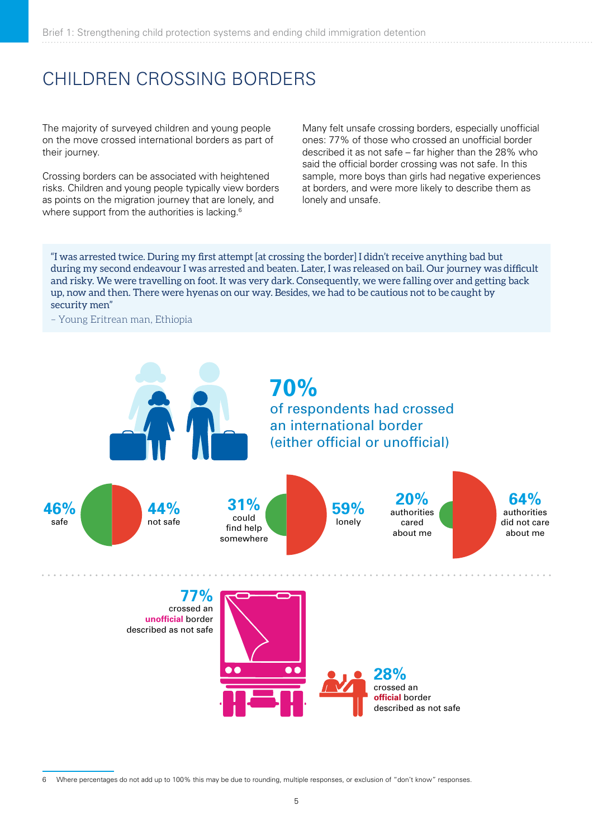## CHILDREN CROSSING BORDERS

The majority of surveyed children and young people on the move crossed international borders as part of their journey.

Crossing borders can be associated with heightened risks. Children and young people typically view borders as points on the migration journey that are lonely, and where support from the authorities is lacking.<sup>6</sup>

Many felt unsafe crossing borders, especially unofficial ones: 77% of those who crossed an unofficial border described it as not safe – far higher than the 28% who said the official border crossing was not safe. In this sample, more boys than girls had negative experiences at borders, and were more likely to describe them as lonely and unsafe.

"I was arrested twice. During my first attempt [at crossing the border] I didn't receive anything bad but during my second endeavour I was arrested and beaten. Later, I was released on bail. Our journey was difficult and risky. We were travelling on foot. It was very dark. Consequently, we were falling over and getting back up, now and then. There were hyenas on our way. Besides, we had to be cautious not to be caught by security men"

– Young Eritrean man, Ethiopia



<sup>6</sup> Where percentages do not add up to 100% this may be due to rounding, multiple responses, or exclusion of "don't know" responses.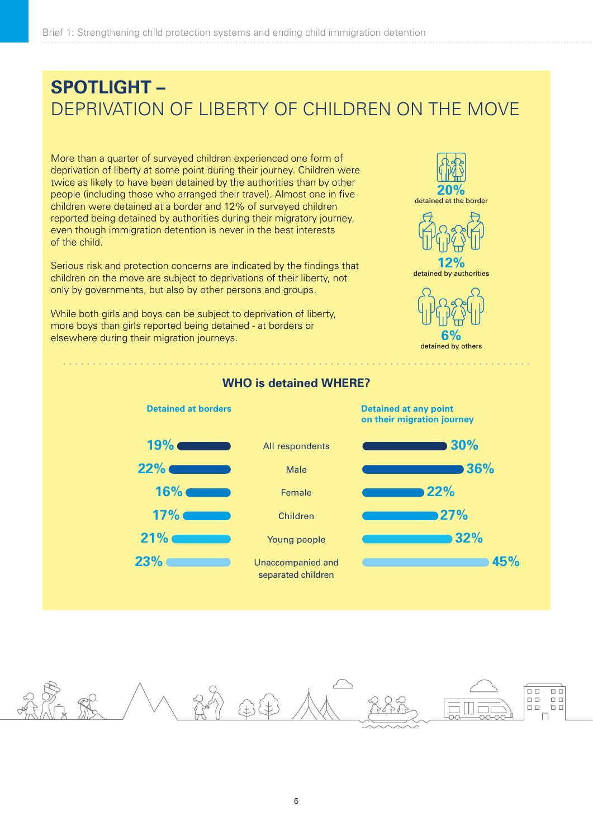## **SPOTLIGHT –**  DEPRIVATION OF LIBERTY OF CHILDREN ON THE MOVE

More than a quarter of surveyed children experienced one form of deprivation of liberty at some point during their journey. Children were twice as likely to have been detained by the authorities than by other people (including those who arranged their travel). Almost one in five children were detained at a border and 12% of surveyed children reported being detained by authorities during their migratory journey, even though immigration detention is never in the best interests of the child.

Serious risk and protection concerns are indicated by the findings that children on the move are subject to deprivations of their liberty, not only by governments, but also by other persons and groups.

While both girls and boys can be subject to deprivation of liberty, more boys than girls reported being detained - at borders or elsewhere during their migration journeys.





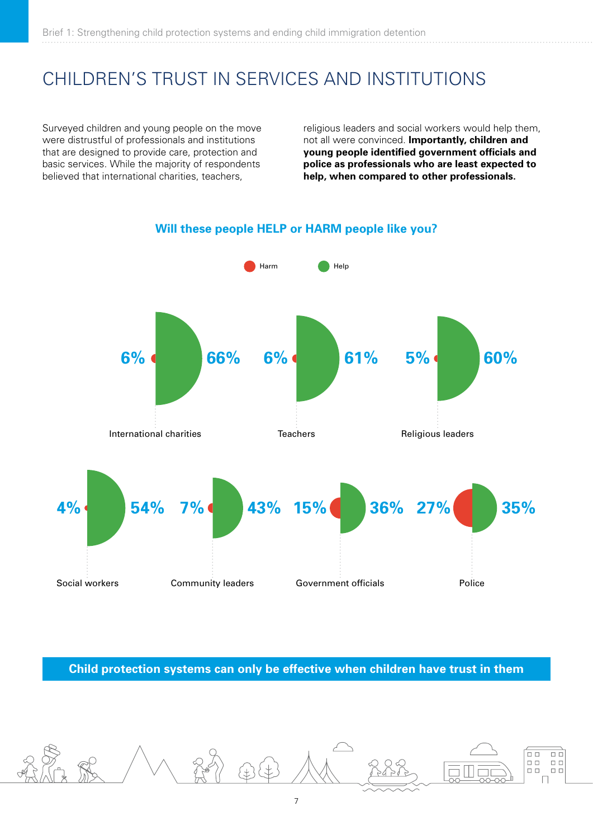## CHILDREN'S TRUST IN SERVICES AND INSTITUTIONS

Surveyed children and young people on the move were distrustful of professionals and institutions that are designed to provide care, protection and basic services. While the majority of respondents believed that international charities, teachers,

religious leaders and social workers would help them. not all were convinced. **Importantly, children and young people identified government officials and police as professionals who are least expected to help, when compared to other professionals.**



**Will these people HELP or HARM people like you?**

**Child protection systems can only be effective when children have trust in them** 

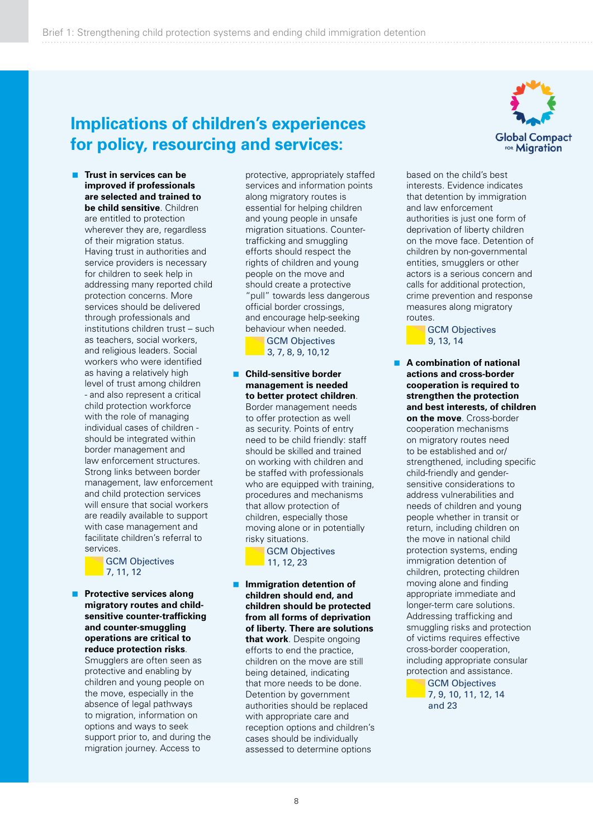## **Implications of children's experiences for policy, resourcing and services:**

**Trust in services can be improved if professionals are selected and trained to be child sensitive**. Children are entitled to protection wherever they are, regardless of their migration status. Having trust in authorities and service providers is necessary for children to seek help in addressing many reported child protection concerns. More services should be delivered through professionals and institutions children trust – such as teachers, social workers, and religious leaders. Social workers who were identified as having a relatively high level of trust among children - and also represent a critical child protection workforce with the role of managing individual cases of children should be integrated within border management and law enforcement structures. Strong links between border management, law enforcement and child protection services will ensure that social workers are readily available to support with case management and facilitate children's referral to services.

GCM Objectives 7, 11, 12

**Protective services along migratory routes and childsensitive counter-trafficking and counter-smuggling operations are critical to reduce protection risks**.

Smugglers are often seen as protective and enabling by children and young people on the move, especially in the absence of legal pathways to migration, information on options and ways to seek support prior to, and during the migration journey. Access to

protective, appropriately staffed services and information points along migratory routes is essential for helping children and young people in unsafe migration situations. Countertrafficking and smuggling efforts should respect the rights of children and young people on the move and should create a protective "pull" towards less dangerous official border crossings, and encourage help-seeking behaviour when needed.

> GCM Objectives 3, 7, 8, 9, 10,12

#### **Child-sensitive border management is needed to better protect children**.

Border management needs to offer protection as well as security. Points of entry need to be child friendly: staff should be skilled and trained on working with children and be staffed with professionals who are equipped with training. procedures and mechanisms that allow protection of children, especially those moving alone or in potentially risky situations.

GCM Objectives  $11, 12, 23$ 

 **Immigration detention of children should end, and children should be protected from all forms of deprivation of liberty. There are solutions that work**. Despite ongoing efforts to end the practice, children on the move are still being detained, indicating that more needs to be done. Detention by government authorities should be replaced with appropriate care and reception options and children's cases should be individually assessed to determine options



based on the child's best interests. Evidence indicates that detention by immigration and law enforcement authorities is just one form of deprivation of liberty children on the move face. Detention of children by non-governmental entities, smugglers or other actors is a serious concern and calls for additional protection, crime prevention and response measures along migratory routes.

GCM Objectives 9, 13, 14

 **A combination of national actions and cross-border cooperation is required to strengthen the protection and best interests, of children on the move**. Cross-border cooperation mechanisms on migratory routes need to be established and or/ strengthened, including specific child-friendly and gendersensitive considerations to address vulnerabilities and needs of children and young people whether in transit or return, including children on the move in national child protection systems, ending immigration detention of children, protecting children moving alone and finding appropriate immediate and longer-term care solutions. Addressing trafficking and smuggling risks and protection of victims requires effective cross-border cooperation, including appropriate consular protection and assistance.

GCM Objectives 7, 9, 10, 11, 12, 14 and 23